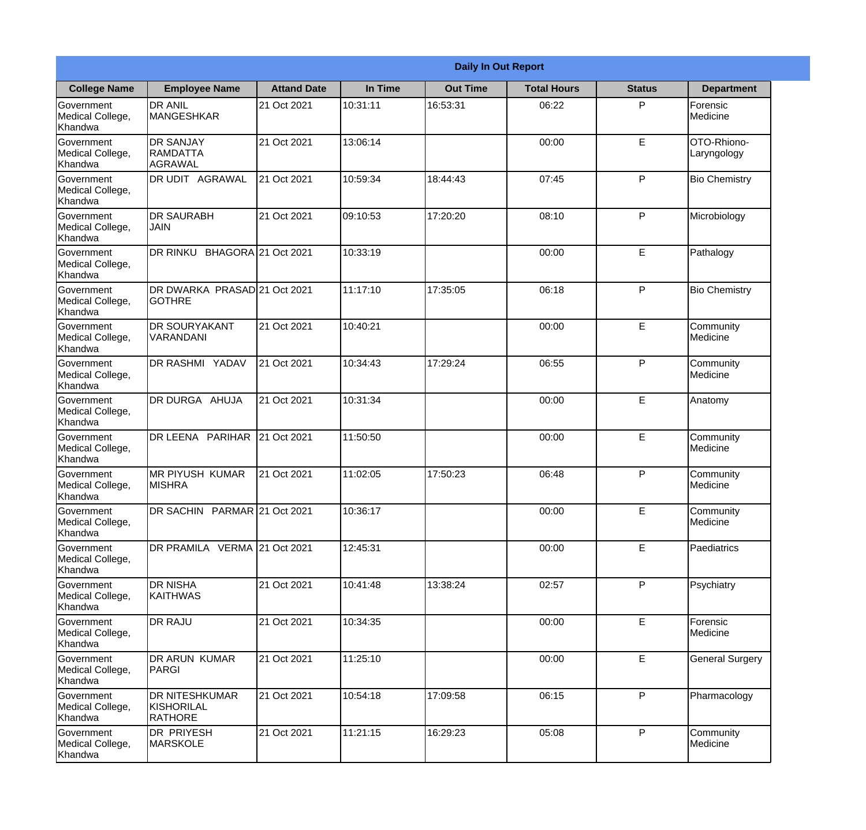|                                                  |                                                |                    | <b>Daily In Out Report</b> |                 |                    |               |                            |  |
|--------------------------------------------------|------------------------------------------------|--------------------|----------------------------|-----------------|--------------------|---------------|----------------------------|--|
| <b>College Name</b>                              | <b>Employee Name</b>                           | <b>Attand Date</b> | In Time                    | <b>Out Time</b> | <b>Total Hours</b> | <b>Status</b> | <b>Department</b>          |  |
| Government<br>Medical College,<br>Khandwa        | <b>DR ANIL</b><br><b>MANGESHKAR</b>            | 21 Oct 2021        | 10:31:11                   | 16:53:31        | 06:22              | P             | Forensic<br>Medicine       |  |
| Government<br>Medical College,<br>Khandwa        | <b>DR SANJAY</b><br><b>RAMDATTA</b><br>AGRAWAL | 21 Oct 2021        | 13:06:14                   |                 | 00:00              | $\mathsf E$   | OTO-Rhiono-<br>Laryngology |  |
| <b>Government</b><br>Medical College,<br>Khandwa | <b>IDR UDIT AGRAWAL</b>                        | 21 Oct 2021        | 10:59:34                   | 18:44:43        | 07:45              | P             | <b>Bio Chemistry</b>       |  |
| <b>Government</b><br>Medical College,<br>Khandwa | <b>DR SAURABH</b><br><b>JAIN</b>               | 21 Oct 2021        | 09:10:53                   | 17:20:20        | 08:10              | P             | Microbiology               |  |
| Government<br>Medical College,<br>Khandwa        | DR RINKU BHAGORA 21 Oct 2021                   |                    | 10:33:19                   |                 | 00:00              | E             | Pathalogy                  |  |
| Government<br>Medical College,<br>Khandwa        | DR DWARKA PRASAD 21 Oct 2021<br>lgothre        |                    | 11:17:10                   | 17:35:05        | 06:18              | P             | <b>Bio Chemistry</b>       |  |
| <b>Government</b><br>Medical College,<br>Khandwa | <b>DR SOURYAKANT</b><br><b>VARANDANI</b>       | 21 Oct 2021        | 10:40:21                   |                 | 00:00              | E             | Community<br>Medicine      |  |
| <b>Government</b><br>Medical College,<br>Khandwa | <b>DR RASHMI YADAV</b>                         | 21 Oct 2021        | 10:34:43                   | 17:29:24        | 06:55              | P             | Community<br>Medicine      |  |
| Government<br>Medical College,<br>Khandwa        | <b>DR DURGA AHUJA</b>                          | 21 Oct 2021        | 10:31:34                   |                 | 00:00              | E             | Anatomy                    |  |
| Government<br>Medical College,<br>Khandwa        | DR LEENA PARIHAR                               | 21 Oct 2021        | 11:50:50                   |                 | 00:00              | E             | Community<br>Medicine      |  |
| Government<br>Medical College,<br>Khandwa        | IMR PIYUSH KUMAR<br><b>MISHRA</b>              | 21 Oct 2021        | 11:02:05                   | 17:50:23        | 06:48              | P             | Community<br>Medicine      |  |
| Government<br>Medical College,<br>Khandwa        | DR SACHIN PARMAR 21 Oct 2021                   |                    | 10:36:17                   |                 | 00:00              | E             | Community<br>Medicine      |  |
| Government<br>Medical College,<br>Khandwa        | DR PRAMILA VERMA 21 Oct 2021                   |                    | 12:45:31                   |                 | 00:00              | E             | Paediatrics                |  |
| Government<br>Medical College,<br>Khandwa        | <b>DR NISHA</b><br>KAITHWAS                    | 21 Oct 2021        | 10:41:48                   | 13:38:24        | 02:57              | P             | Psychiatry                 |  |
| <b>Government</b><br>Medical College,<br>Khandwa | <b>DR RAJU</b>                                 | 21 Oct 2021        | 10:34:35                   |                 | 00:00              | E             | Forensic<br>Medicine       |  |
| Government<br>Medical College,<br>Khandwa        | DR ARUN KUMAR<br>PARGI                         | 21 Oct 2021        | 11:25:10                   |                 | 00:00              | E             | <b>General Surgery</b>     |  |
| Government<br>Medical College,<br>Khandwa        | <b>DR NITESHKUMAR</b><br>KISHORILAL<br>RATHORE | 21 Oct 2021        | 10:54:18                   | 17:09:58        | 06:15              | P             | Pharmacology               |  |
| Government<br>Medical College,<br>Khandwa        | DR PRIYESH<br>MARSKOLE                         | 21 Oct 2021        | 11:21:15                   | 16:29:23        | 05:08              | P             | Community<br>Medicine      |  |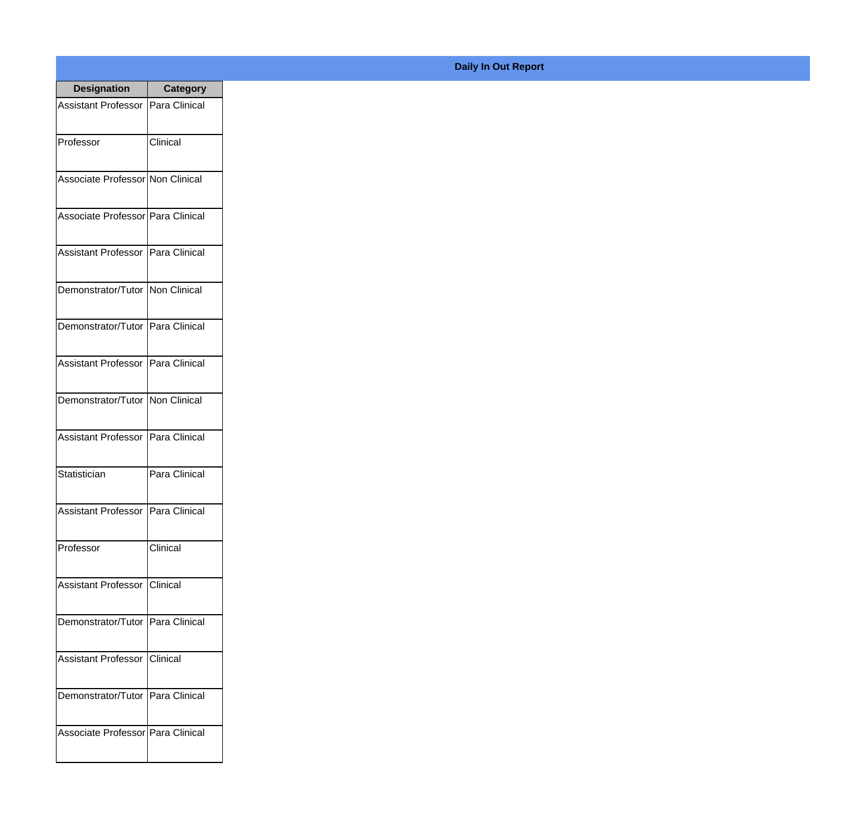| <b>Designation</b>                  | Category      |
|-------------------------------------|---------------|
| Assistant Professor   Para Clinical |               |
| Professor                           | Clinical      |
| Associate Professor Non Clinical    |               |
| Associate Professor Para Clinical   |               |
| Assistant Professor   Para Clinical |               |
| Demonstrator/Tutor   Non Clinical   |               |
| Demonstrator/Tutor   Para Clinical  |               |
| Assistant Professor   Para Clinical |               |
| Demonstrator/Tutor   Non Clinical   |               |
| <b>Assistant Professor</b>          | Para Clinical |
| Statistician                        | Para Clinical |
| Assistant Professor   Para Clinical |               |
| Professor                           | Clinical      |
| Assistant Professor   Clinical      |               |
| Demonstrator/Tutor   Para Clinical  |               |
| <b>Assistant Professor</b>          | Clinical      |
| Demonstrator/Tutor   Para Clinical  |               |
| Associate Professor Para Clinical   |               |

## **Daily In Out Report**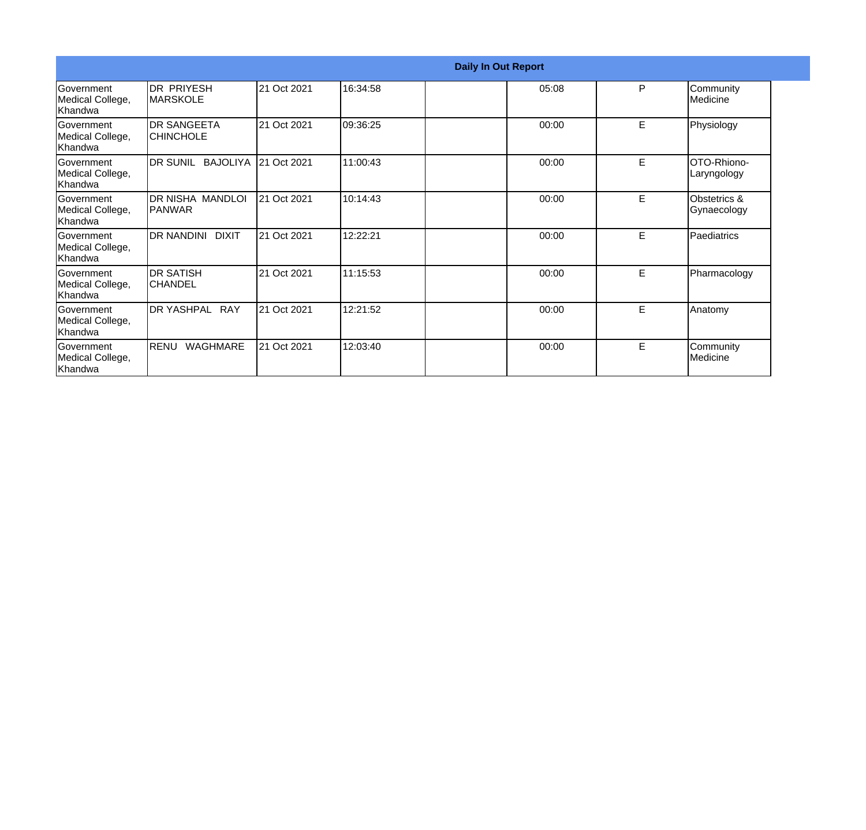|                                                   |                                          |             |          | <b>Daily In Out Report</b> |       |   |                                |
|---------------------------------------------------|------------------------------------------|-------------|----------|----------------------------|-------|---|--------------------------------|
| <b>Government</b><br>Medical College,<br>Khandwa  | DR PRIYESH<br><b>MARSKOLE</b>            | 21 Oct 2021 | 16:34:58 |                            | 05:08 | P | Community<br>Medicine          |
| Government<br>Medical College,<br>Khandwa         | <b>DR SANGEETA</b><br><b>CHINCHOLE</b>   | 21 Oct 2021 | 09:36:25 |                            | 00:00 | E | Physiology                     |
| Government<br>Medical College,<br>Khandwa         | DR SUNIL<br><b>BAJOLIYA</b>              | 21 Oct 2021 | 11:00:43 |                            | 00:00 | E | OTO-Rhiono-<br>Laryngology     |
| <b>Government</b><br>Medical College,<br>lKhandwa | <b>DR NISHA MANDLOI</b><br><b>PANWAR</b> | 21 Oct 2021 | 10:14:43 |                            | 00:00 | E | Obstetrics &<br>Gynaecology    |
| Government<br>Medical College,<br>Khandwa         | <b>DR NANDINI</b><br><b>DIXIT</b>        | 21 Oct 2021 | 12:22:21 |                            | 00:00 | E | Paediatrics                    |
| Government<br>Medical College,<br>Khandwa         | IDR SATISH<br><b>CHANDEL</b>             | 21 Oct 2021 | 11:15:53 |                            | 00:00 | E | Pharmacology                   |
| <b>Government</b><br>Medical College,<br>Khandwa  | DR YASHPAL RAY                           | 21 Oct 2021 | 12:21:52 |                            | 00:00 | E | Anatomy                        |
| Government<br>Medical College,<br>Khandwa         | RENU<br>WAGHMARE                         | 21 Oct 2021 | 12:03:40 |                            | 00:00 | E | Community<br><b>I</b> Medicine |